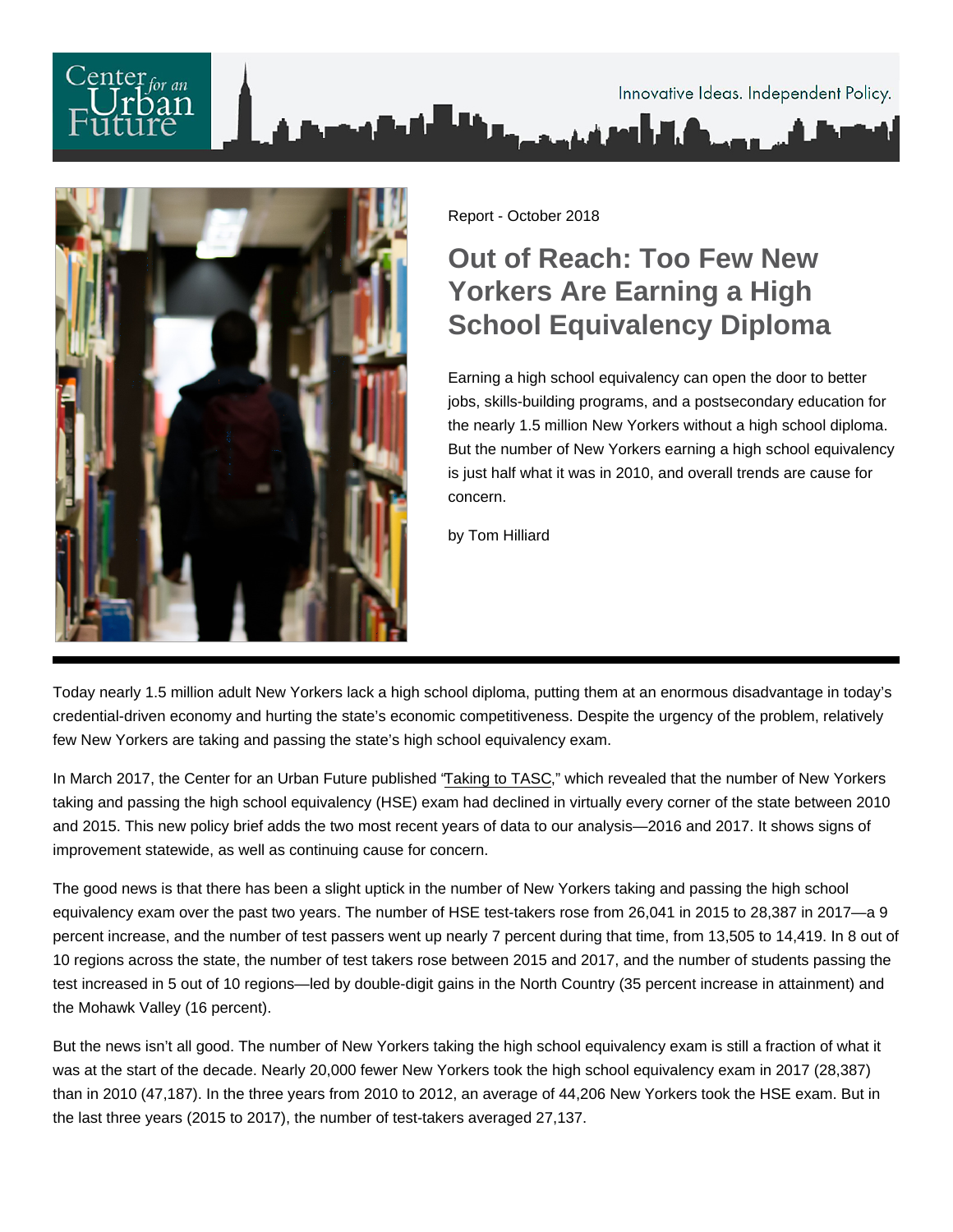

Report - October 2018

# Out of Reach: Too Few New Yorkers Are Earning a High School Equivalency Diploma

Earning a high school equivalency can open the door to better jobs, skills-building programs, and a postsecondary education for the nearly 1.5 million New Yorkers without a high school diploma. But the number of New Yorkers earning a high school equivalency is just half what it was in 2010, and overall trends are cause for concern.

by Tom Hilliard

Today nearly 1.5 million adult New Yorkers lack a high school diploma, putting them at an enormous disadvantage in today's credential-driven economy and hurting the state's economic competitiveness. Despite the urgency of the problem, relatively few New Yorkers are taking and passing the state's high school equivalency exam.

In March 2017, the Center for an Urban Future published ["Taking to TASC](https://nycfuture.org/data/taking-to-tasc)," which revealed that the number of New Yorkers taking and passing the high school equivalency (HSE) exam had declined in virtually every corner of the state between 2010 and 2015. This new policy brief adds the two most recent years of data to our analysis—2016 and 2017. It shows signs of improvement statewide, as well as continuing cause for concern.

The good news is that there has been a slight uptick in the number of New Yorkers taking and passing the high school equivalency exam over the past two years. The number of HSE test-takers rose from 26,041 in 2015 to 28,387 in 2017—a 9 percent increase, and the number of test passers went up nearly 7 percent during that time, from 13,505 to 14,419. In 8 out of 10 regions across the state, the number of test takers rose between 2015 and 2017, and the number of students passing the test increased in 5 out of 10 regions—led by double-digit gains in the North Country (35 percent increase in attainment) and the Mohawk Valley (16 percent).

But the news isn't all good. The number of New Yorkers taking the high school equivalency exam is still a fraction of what it was at the start of the decade. Nearly 20,000 fewer New Yorkers took the high school equivalency exam in 2017 (28,387) than in 2010 (47,187). In the three years from 2010 to 2012, an average of 44,206 New Yorkers took the HSE exam. But in the last three years (2015 to 2017), the number of test-takers averaged 27,137.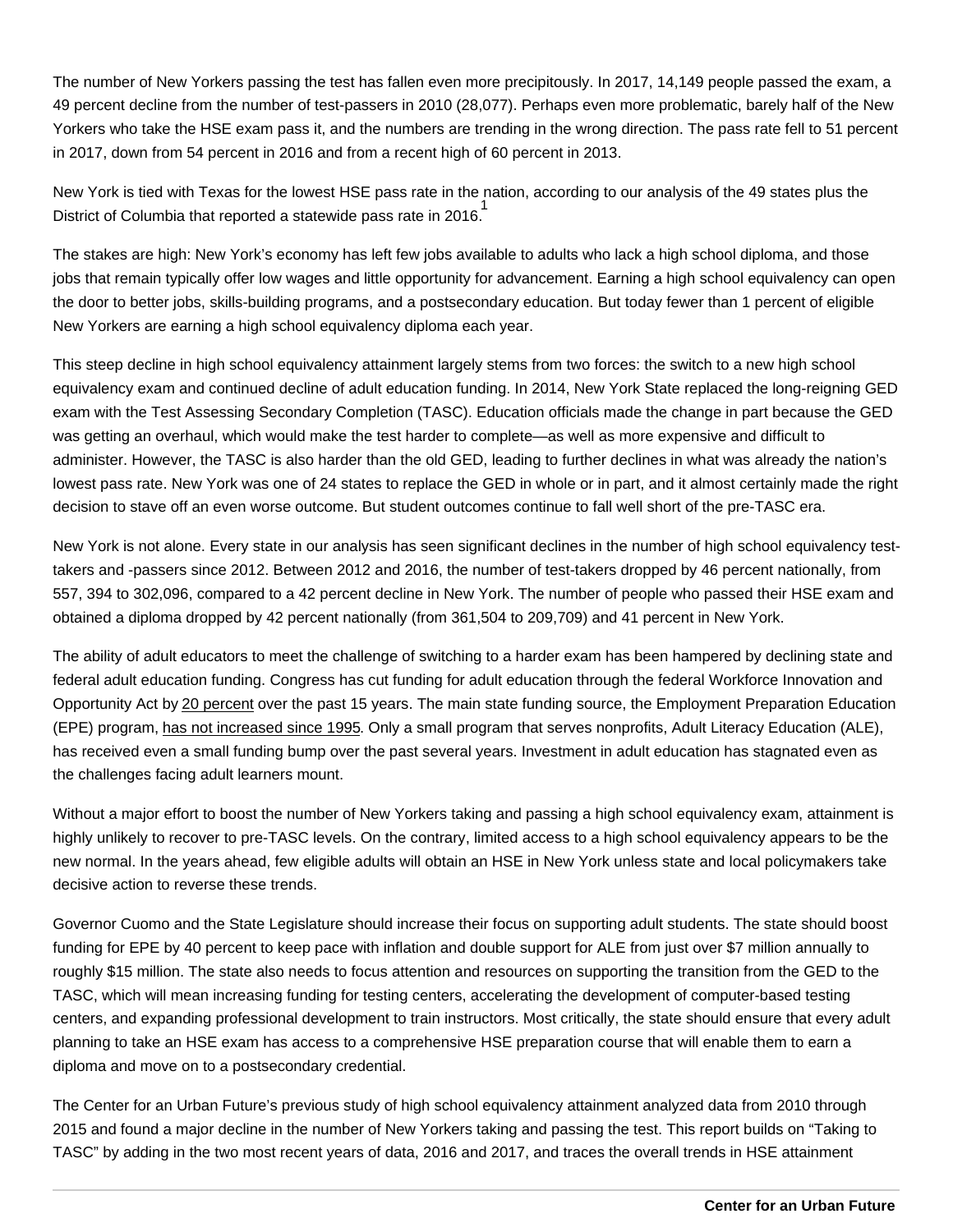The number of New Yorkers passing the test has fallen even more precipitously. In 2017, 14,149 people passed the exam, a 49 percent decline from the number of test-passers in 2010 (28,077). Perhaps even more problematic, barely half of the New Yorkers who take the HSE exam pass it, and the numbers are trending in the wrong direction. The pass rate fell to 51 percent in 2017, down from 54 percent in 2016 and from a recent high of 60 percent in 2013.

New York is tied with Texas for the lowest HSE pass rate in the nation, according to our analysis of the 49 states plus the District of Columbia that reported a statewide pass rate in 2016. 1

The stakes are high: New York's economy has left few jobs available to adults who lack a high school diploma, and those jobs that remain typically offer low wages and little opportunity for advancement. Earning a high school equivalency can open the door to better jobs, skills-building programs, and a postsecondary education. But today fewer than 1 percent of eligible New Yorkers are earning a high school equivalency diploma each year.

This steep decline in high school equivalency attainment largely stems from two forces: the switch to a new high school equivalency exam and continued decline of adult education funding. In 2014, New York State replaced the long-reigning GED exam with the Test Assessing Secondary Completion (TASC). Education officials made the change in part because the GED was getting an overhaul, which would make the test harder to complete—as well as more expensive and difficult to administer. However, the TASC is also harder than the old GED, leading to further declines in what was already the nation's lowest pass rate. New York was one of 24 states to replace the GED in whole or in part, and it almost certainly made the right decision to stave off an even worse outcome. But student outcomes continue to fall well short of the pre-TASC era.

New York is not alone. Every state in our analysis has seen significant declines in the number of high school equivalency testtakers and -passers since 2012. Between 2012 and 2016, the number of test-takers dropped by 46 percent nationally, from 557, 394 to 302,096, compared to a 42 percent decline in New York. The number of people who passed their HSE exam and obtained a diploma dropped by 42 percent nationally (from 361,504 to 209,709) and 41 percent in New York.

The ability of adult educators to meet the challenge of switching to a harder exam has been hampered by declining state and federal adult education funding. Congress has cut funding for adult education through the federal Workforce Innovation and Opportunity Act by [20 percent](https://www.nationalskillscoalition.org/resources/publications/file/Skills-for-Good-Jobs-Agenda-2018.pdf) over the past 15 years. The main state funding source, the Employment Preparation Education (EPE) program, [has not increased since 1995](https://nycfuture.org/research/how-automation-will-transform-jobs-in-nyc). Only a small program that serves nonprofits, Adult Literacy Education (ALE), has received even a small funding bump over the past several years. Investment in adult education has stagnated even as the challenges facing adult learners mount.

Without a major effort to boost the number of New Yorkers taking and passing a high school equivalency exam, attainment is highly unlikely to recover to pre-TASC levels. On the contrary, limited access to a high school equivalency appears to be the new normal. In the years ahead, few eligible adults will obtain an HSE in New York unless state and local policymakers take decisive action to reverse these trends.

Governor Cuomo and the State Legislature should increase their focus on supporting adult students. The state should boost funding for EPE by 40 percent to keep pace with inflation and double support for ALE from just over \$7 million annually to roughly \$15 million. The state also needs to focus attention and resources on supporting the transition from the GED to the TASC, which will mean increasing funding for testing centers, accelerating the development of computer-based testing centers, and expanding professional development to train instructors. Most critically, the state should ensure that every adult planning to take an HSE exam has access to a comprehensive HSE preparation course that will enable them to earn a diploma and move on to a postsecondary credential.

The Center for an Urban Future's previous study of high school equivalency attainment analyzed data from 2010 through 2015 and found a major decline in the number of New Yorkers taking and passing the test. This report builds on "Taking to TASC" by adding in the two most recent years of data, 2016 and 2017, and traces the overall trends in HSE attainment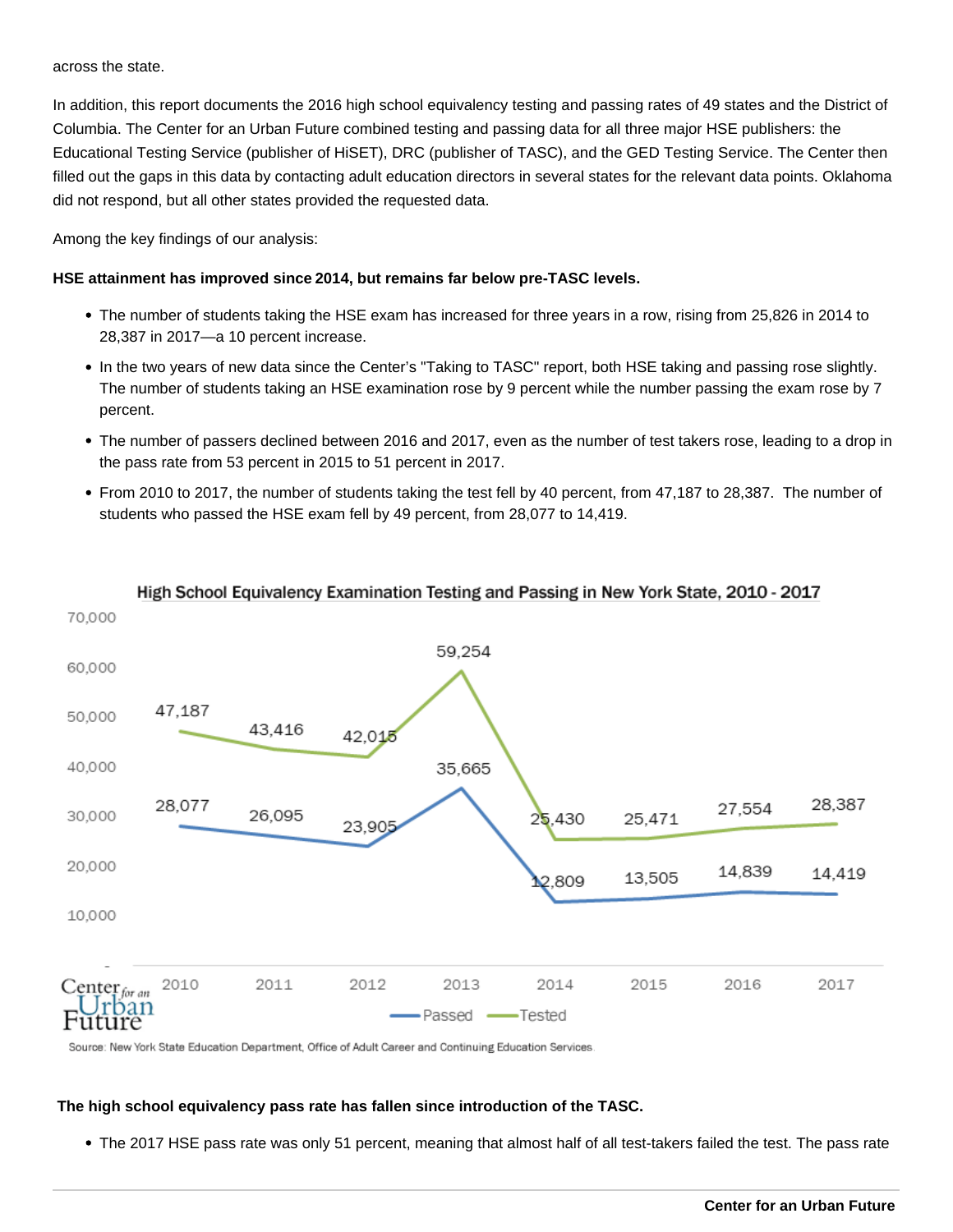across the state.

In addition, this report documents the 2016 high school equivalency testing and passing rates of 49 states and the District of Columbia. The Center for an Urban Future combined testing and passing data for all three major HSE publishers: the Educational Testing Service (publisher of HiSET), DRC (publisher of TASC), and the GED Testing Service. The Center then filled out the gaps in this data by contacting adult education directors in several states for the relevant data points. Oklahoma did not respond, but all other states provided the requested data.

Among the key findings of our analysis:

## **HSE attainment has improved since 2014, but remains far below pre-TASC levels.**

- The number of students taking the HSE exam has increased for three years in a row, rising from 25,826 in 2014 to 28,387 in 2017—a 10 percent increase.
- In the two years of new data since the Center's "Taking to TASC" report, both HSE taking and passing rose slightly. The number of students taking an HSE examination rose by 9 percent while the number passing the exam rose by 7 percent.
- The number of passers declined between 2016 and 2017, even as the number of test takers rose, leading to a drop in the pass rate from 53 percent in 2015 to 51 percent in 2017.
- From 2010 to 2017, the number of students taking the test fell by 40 percent, from 47,187 to 28,387. The number of students who passed the HSE exam fell by 49 percent, from 28,077 to 14,419.



# High School Equivalency Examination Testing and Passing in New York State, 2010 - 2017

Source: New York State Education Department, Office of Adult Career and Continuing Education Services

#### **The high school equivalency pass rate has fallen since introduction of the TASC.**

The 2017 HSE pass rate was only 51 percent, meaning that almost half of all test-takers failed the test. The pass rate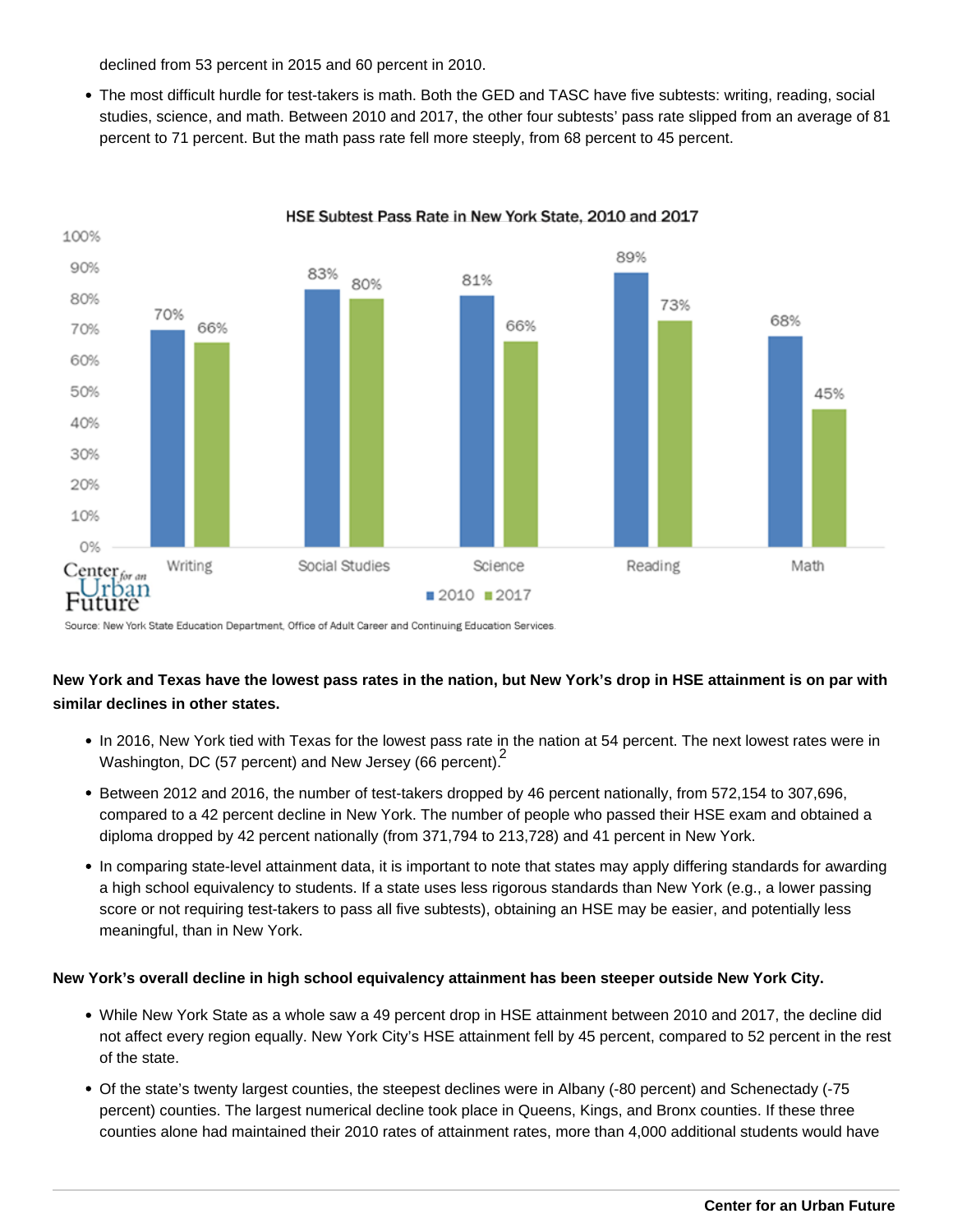declined from 53 percent in 2015 and 60 percent in 2010.

The most difficult hurdle for test-takers is math. Both the GED and TASC have five subtests: writing, reading, social studies, science, and math. Between 2010 and 2017, the other four subtests' pass rate slipped from an average of 81 percent to 71 percent. But the math pass rate fell more steeply, from 68 percent to 45 percent.



HSE Subtest Pass Rate in New York State, 2010 and 2017

Source: New York State Education Department, Office of Adult Career and Continuing Education Services.

# **New York and Texas have the lowest pass rates in the nation, but New York's drop in HSE attainment is on par with similar declines in other states.**

- In 2016, New York tied with Texas for the lowest pass rate in the nation at 54 percent. The next lowest rates were in Washington, DC (57 percent) and New Jersey (66 percent).
- Between 2012 and 2016, the number of test-takers dropped by 46 percent nationally, from 572,154 to 307,696, compared to a 42 percent decline in New York. The number of people who passed their HSE exam and obtained a diploma dropped by 42 percent nationally (from 371,794 to 213,728) and 41 percent in New York.
- In comparing state-level attainment data, it is important to note that states may apply differing standards for awarding a high school equivalency to students. If a state uses less rigorous standards than New York (e.g., a lower passing score or not requiring test-takers to pass all five subtests), obtaining an HSE may be easier, and potentially less meaningful, than in New York.

## **New York's overall decline in high school equivalency attainment has been steeper outside New York City.**

- While New York State as a whole saw a 49 percent drop in HSE attainment between 2010 and 2017, the decline did not affect every region equally. New York City's HSE attainment fell by 45 percent, compared to 52 percent in the rest of the state.
- Of the state's twenty largest counties, the steepest declines were in Albany (-80 percent) and Schenectady (-75 percent) counties. The largest numerical decline took place in Queens, Kings, and Bronx counties. If these three counties alone had maintained their 2010 rates of attainment rates, more than 4,000 additional students would have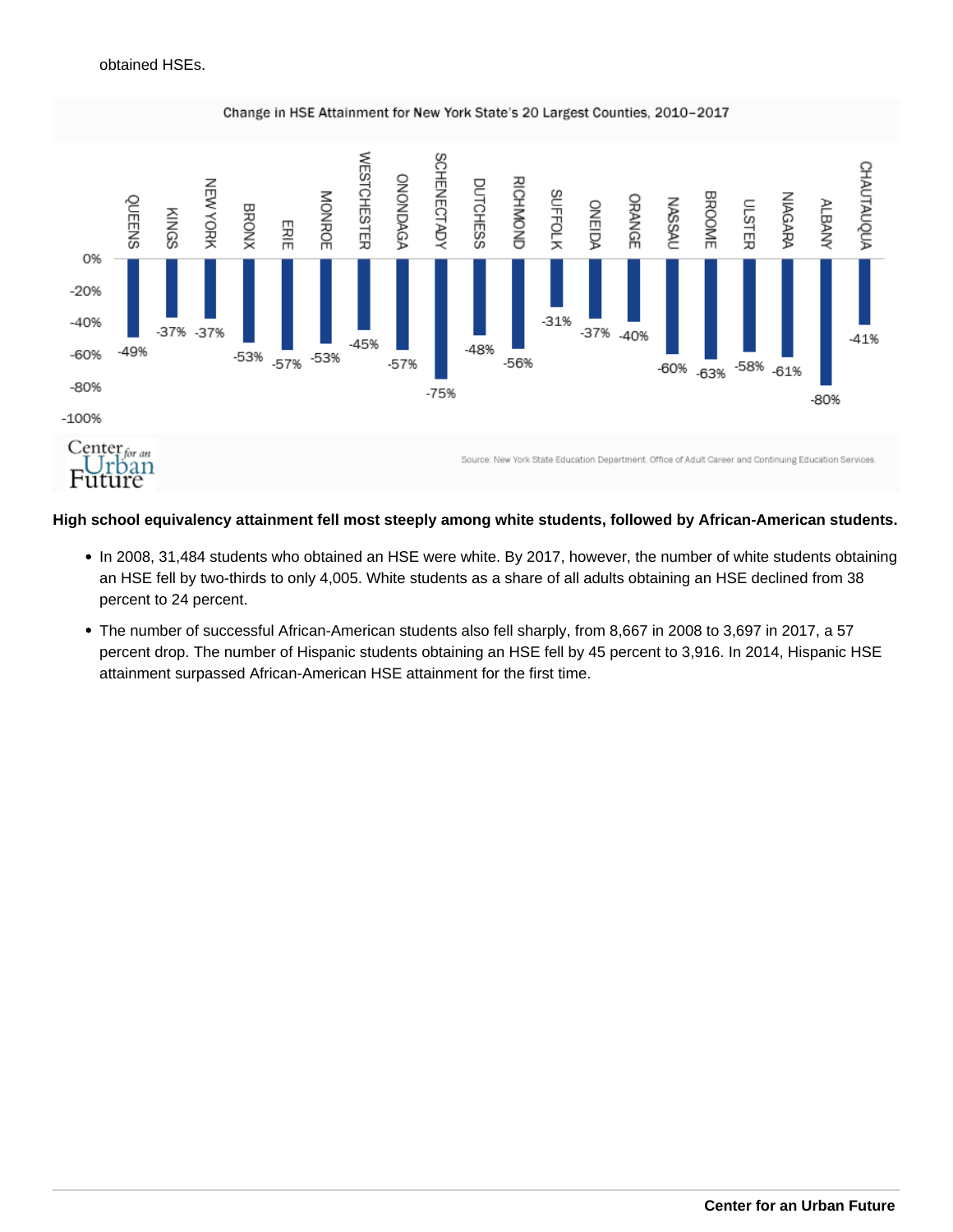

**High school equivalency attainment fell most steeply among white students, followed by African-American students.** 

- In 2008, 31,484 students who obtained an HSE were white. By 2017, however, the number of white students obtaining an HSE fell by two-thirds to only 4,005. White students as a share of all adults obtaining an HSE declined from 38 percent to 24 percent.
- The number of successful African-American students also fell sharply, from 8,667 in 2008 to 3,697 in 2017, a 57 percent drop. The number of Hispanic students obtaining an HSE fell by 45 percent to 3,916. In 2014, Hispanic HSE attainment surpassed African-American HSE attainment for the first time.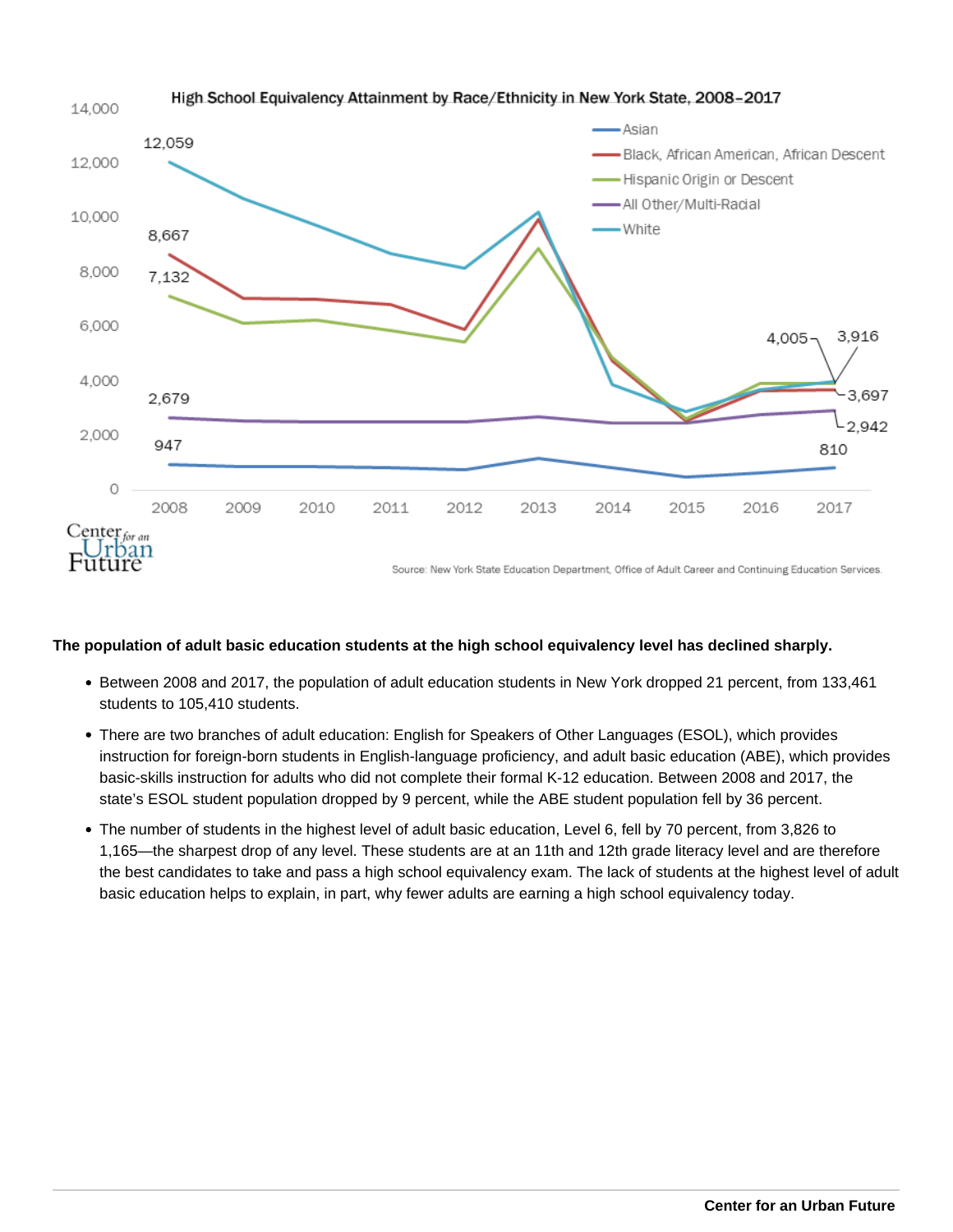

## **The population of adult basic education students at the high school equivalency level has declined sharply.**

- Between 2008 and 2017, the population of adult education students in New York dropped 21 percent, from 133,461 students to 105,410 students.
- There are two branches of adult education: English for Speakers of Other Languages (ESOL), which provides instruction for foreign-born students in English-language proficiency, and adult basic education (ABE), which provides basic-skills instruction for adults who did not complete their formal K-12 education. Between 2008 and 2017, the state's ESOL student population dropped by 9 percent, while the ABE student population fell by 36 percent.
- The number of students in the highest level of adult basic education, Level 6, fell by 70 percent, from 3,826 to 1,165—the sharpest drop of any level. These students are at an 11th and 12th grade literacy level and are therefore the best candidates to take and pass a high school equivalency exam. The lack of students at the highest level of adult basic education helps to explain, in part, why fewer adults are earning a high school equivalency today.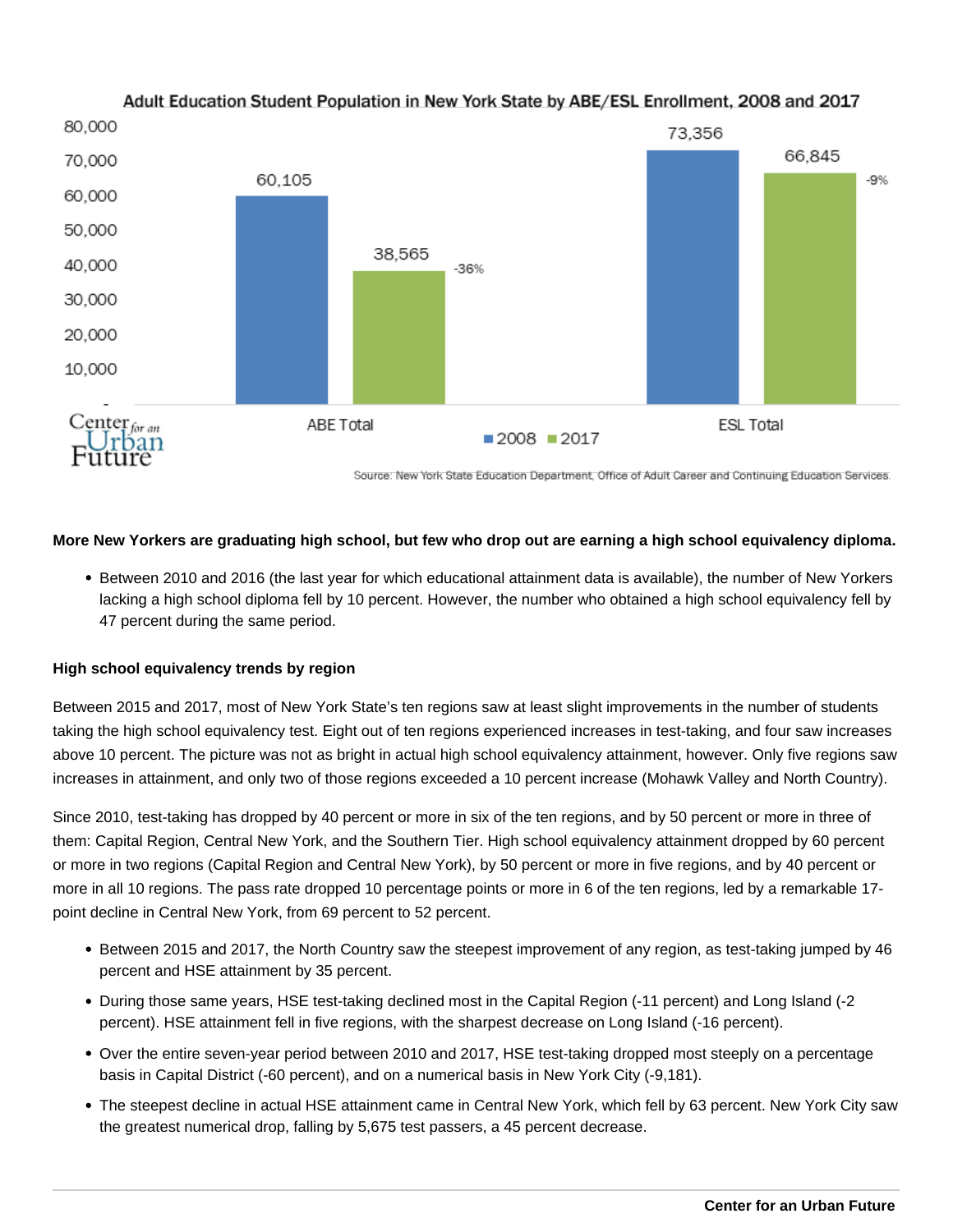

# Adult Education Student Population in New York State by ABE/ESL Enrollment, 2008 and 2017

Source: New York State Education Department, Office of Adult Career and Continuing Education Services.

## **More New Yorkers are graduating high school, but few who drop out are earning a high school equivalency diploma.**

Between 2010 and 2016 (the last year for which educational attainment data is available), the number of New Yorkers lacking a high school diploma fell by 10 percent. However, the number who obtained a high school equivalency fell by 47 percent during the same period.

## **High school equivalency trends by region**

Between 2015 and 2017, most of New York State's ten regions saw at least slight improvements in the number of students taking the high school equivalency test. Eight out of ten regions experienced increases in test-taking, and four saw increases above 10 percent. The picture was not as bright in actual high school equivalency attainment, however. Only five regions saw increases in attainment, and only two of those regions exceeded a 10 percent increase (Mohawk Valley and North Country).

Since 2010, test-taking has dropped by 40 percent or more in six of the ten regions, and by 50 percent or more in three of them: Capital Region, Central New York, and the Southern Tier. High school equivalency attainment dropped by 60 percent or more in two regions (Capital Region and Central New York), by 50 percent or more in five regions, and by 40 percent or more in all 10 regions. The pass rate dropped 10 percentage points or more in 6 of the ten regions, led by a remarkable 17 point decline in Central New York, from 69 percent to 52 percent.

- Between 2015 and 2017, the North Country saw the steepest improvement of any region, as test-taking jumped by 46 percent and HSE attainment by 35 percent.
- During those same years, HSE test-taking declined most in the Capital Region (-11 percent) and Long Island (-2 percent). HSE attainment fell in five regions, with the sharpest decrease on Long Island (-16 percent).
- Over the entire seven-year period between 2010 and 2017, HSE test-taking dropped most steeply on a percentage basis in Capital District (-60 percent), and on a numerical basis in New York City (-9,181).
- The steepest decline in actual HSE attainment came in Central New York, which fell by 63 percent. New York City saw the greatest numerical drop, falling by 5,675 test passers, a 45 percent decrease.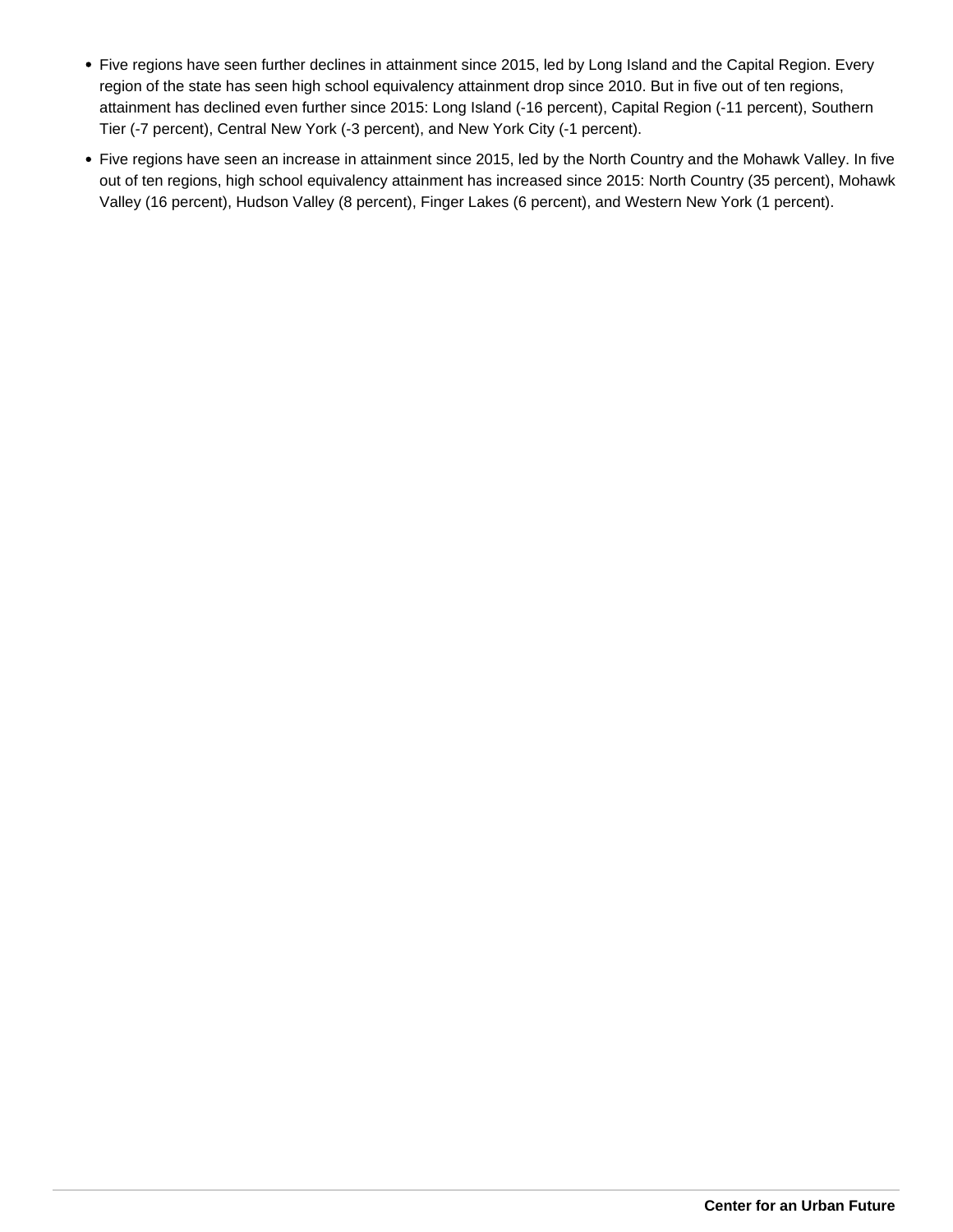- Five regions have seen further declines in attainment since 2015, led by Long Island and the Capital Region. Every region of the state has seen high school equivalency attainment drop since 2010. But in five out of ten regions, attainment has declined even further since 2015: Long Island (-16 percent), Capital Region (-11 percent), Southern Tier (-7 percent), Central New York (-3 percent), and New York City (-1 percent).
- Five regions have seen an increase in attainment since 2015, led by the North Country and the Mohawk Valley. In five out of ten regions, high school equivalency attainment has increased since 2015: North Country (35 percent), Mohawk Valley (16 percent), Hudson Valley (8 percent), Finger Lakes (6 percent), and Western New York (1 percent).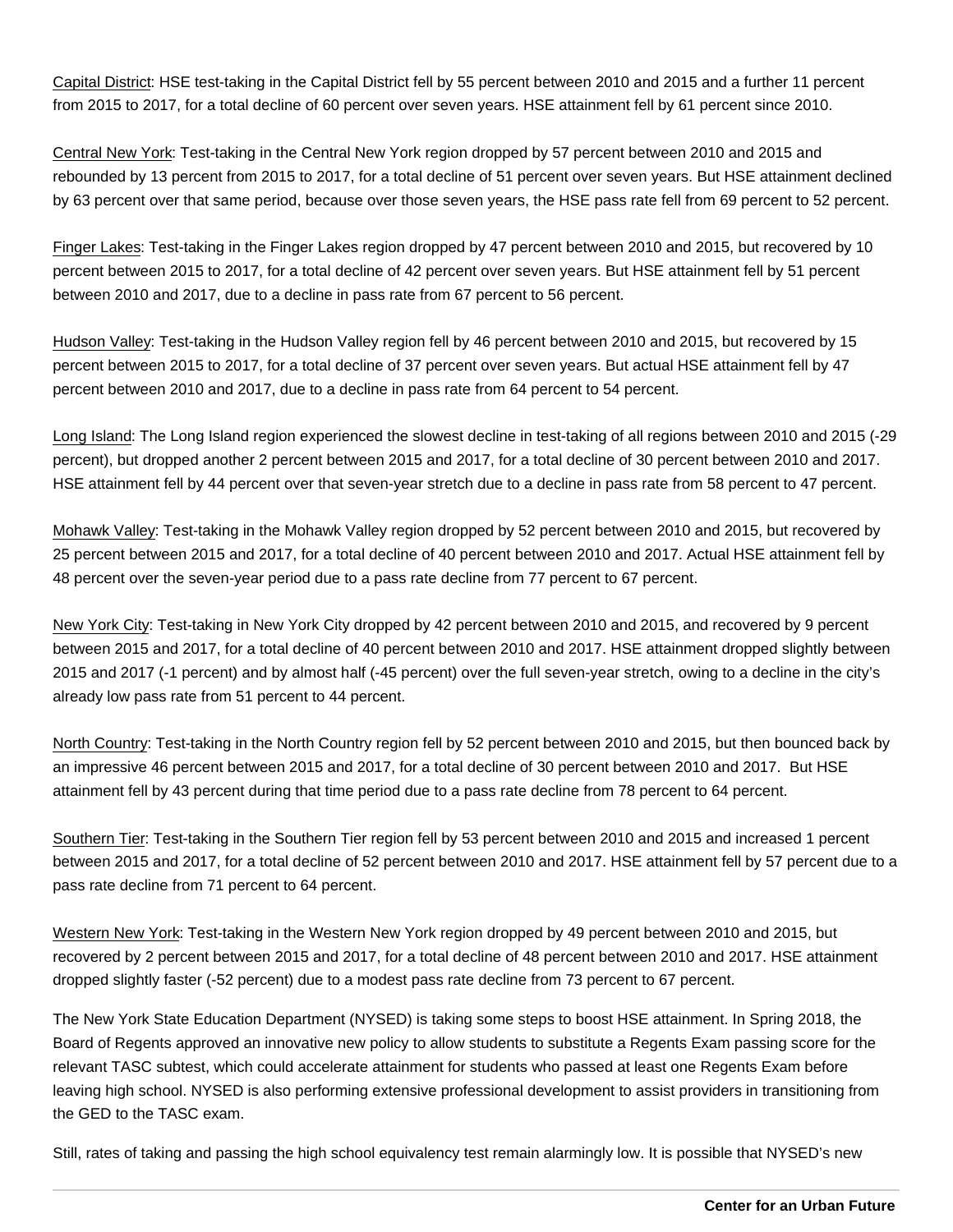Capital District: HSE test-taking in the Capital District fell by 55 percent between 2010 and 2015 and a further 11 percent from 2015 to 2017, for a total decline of 60 percent over seven years. HSE attainment fell by 61 percent since 2010.

Central New York: Test-taking in the Central New York region dropped by 57 percent between 2010 and 2015 and rebounded by 13 percent from 2015 to 2017, for a total decline of 51 percent over seven years. But HSE attainment declined by 63 percent over that same period, because over those seven years, the HSE pass rate fell from 69 percent to 52 percent.

Finger Lakes: Test-taking in the Finger Lakes region dropped by 47 percent between 2010 and 2015, but recovered by 10 percent between 2015 to 2017, for a total decline of 42 percent over seven years. But HSE attainment fell by 51 percent between 2010 and 2017, due to a decline in pass rate from 67 percent to 56 percent.

Hudson Valley: Test-taking in the Hudson Valley region fell by 46 percent between 2010 and 2015, but recovered by 15 percent between 2015 to 2017, for a total decline of 37 percent over seven years. But actual HSE attainment fell by 47 percent between 2010 and 2017, due to a decline in pass rate from 64 percent to 54 percent.

Long Island: The Long Island region experienced the slowest decline in test-taking of all regions between 2010 and 2015 (-29 percent), but dropped another 2 percent between 2015 and 2017, for a total decline of 30 percent between 2010 and 2017. HSE attainment fell by 44 percent over that seven-year stretch due to a decline in pass rate from 58 percent to 47 percent.

Mohawk Valley: Test-taking in the Mohawk Valley region dropped by 52 percent between 2010 and 2015, but recovered by 25 percent between 2015 and 2017, for a total decline of 40 percent between 2010 and 2017. Actual HSE attainment fell by 48 percent over the seven-year period due to a pass rate decline from 77 percent to 67 percent.

New York City: Test-taking in New York City dropped by 42 percent between 2010 and 2015, and recovered by 9 percent between 2015 and 2017, for a total decline of 40 percent between 2010 and 2017. HSE attainment dropped slightly between 2015 and 2017 (-1 percent) and by almost half (-45 percent) over the full seven-year stretch, owing to a decline in the city's already low pass rate from 51 percent to 44 percent.

North Country: Test-taking in the North Country region fell by 52 percent between 2010 and 2015, but then bounced back by an impressive 46 percent between 2015 and 2017, for a total decline of 30 percent between 2010 and 2017. But HSE attainment fell by 43 percent during that time period due to a pass rate decline from 78 percent to 64 percent.

Southern Tier: Test-taking in the Southern Tier region fell by 53 percent between 2010 and 2015 and increased 1 percent between 2015 and 2017, for a total decline of 52 percent between 2010 and 2017. HSE attainment fell by 57 percent due to a pass rate decline from 71 percent to 64 percent.

Western New York: Test-taking in the Western New York region dropped by 49 percent between 2010 and 2015, but recovered by 2 percent between 2015 and 2017, for a total decline of 48 percent between 2010 and 2017. HSE attainment dropped slightly faster (-52 percent) due to a modest pass rate decline from 73 percent to 67 percent.

The New York State Education Department (NYSED) is taking some steps to boost HSE attainment. In Spring 2018, the Board of Regents approved an innovative new policy to allow students to substitute a Regents Exam passing score for the relevant TASC subtest, which could accelerate attainment for students who passed at least one Regents Exam before leaving high school. NYSED is also performing extensive professional development to assist providers in transitioning from the GED to the TASC exam.

Still, rates of taking and passing the high school equivalency test remain alarmingly low. It is possible that NYSED's new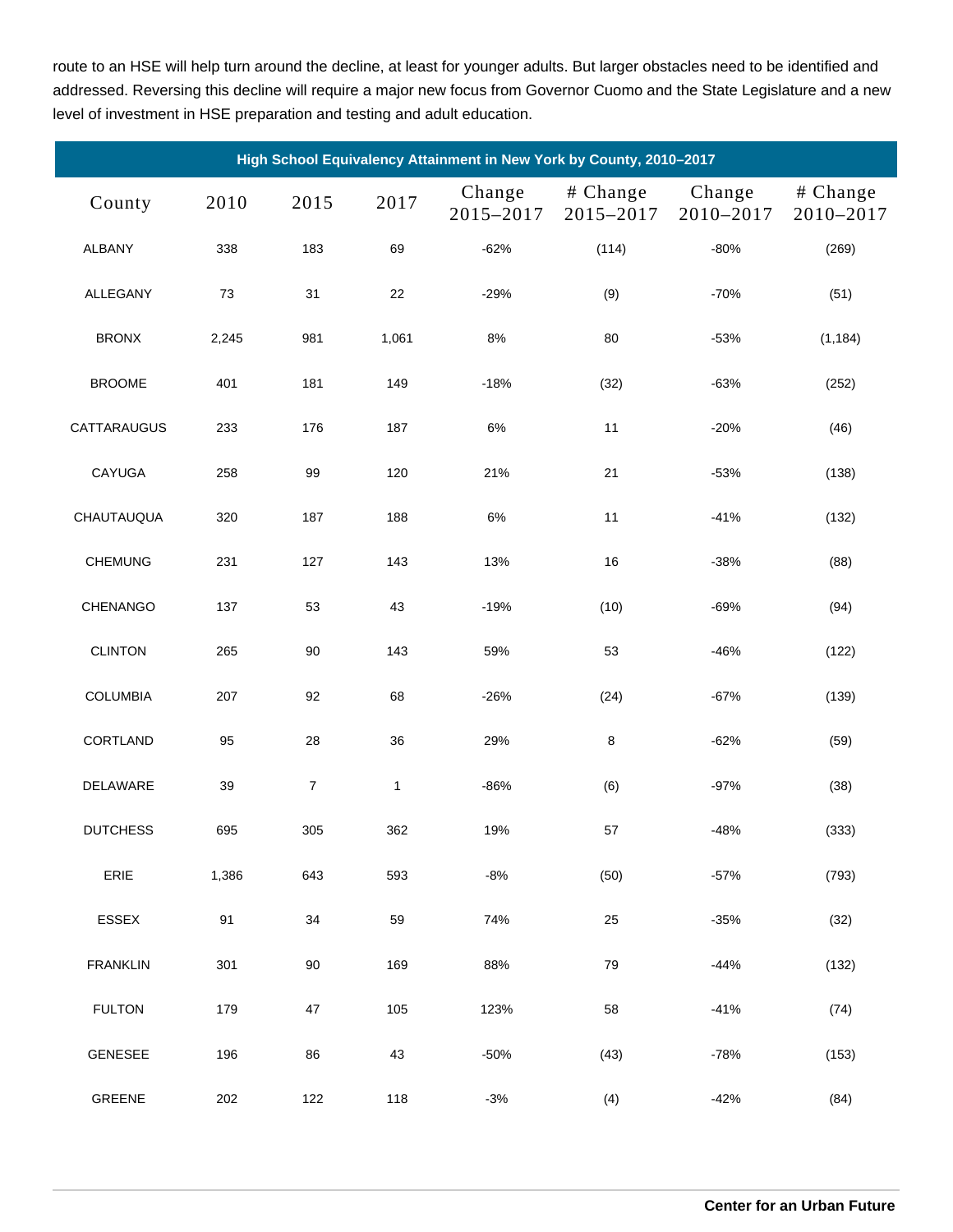route to an HSE will help turn around the decline, at least for younger adults. But larger obstacles need to be identified and addressed. Reversing this decline will require a major new focus from Governor Cuomo and the State Legislature and a new level of investment in HSE preparation and testing and adult education.

| High School Equivalency Attainment in New York by County, 2010-2017 |       |                  |              |                     |                       |                     |                       |  |  |  |
|---------------------------------------------------------------------|-------|------------------|--------------|---------------------|-----------------------|---------------------|-----------------------|--|--|--|
| County                                                              | 2010  | 2015             | 2017         | Change<br>2015-2017 | # Change<br>2015-2017 | Change<br>2010-2017 | # Change<br>2010-2017 |  |  |  |
| <b>ALBANY</b>                                                       | 338   | 183              | 69           | $-62%$              | (114)                 | $-80%$              | (269)                 |  |  |  |
| ALLEGANY                                                            | 73    | 31               | 22           | $-29%$              | (9)                   | $-70%$              | (51)                  |  |  |  |
| <b>BRONX</b>                                                        | 2,245 | 981              | 1,061        | 8%                  | 80                    | $-53%$              | (1, 184)              |  |  |  |
| <b>BROOME</b>                                                       | 401   | 181              | 149          | $-18%$              | (32)                  | $-63%$              | (252)                 |  |  |  |
| CATTARAUGUS                                                         | 233   | 176              | 187          | 6%                  | 11                    | $-20%$              | (46)                  |  |  |  |
| <b>CAYUGA</b>                                                       | 258   | 99               | 120          | 21%                 | 21                    | $-53%$              | (138)                 |  |  |  |
| CHAUTAUQUA                                                          | 320   | 187              | 188          | 6%                  | 11                    | $-41%$              | (132)                 |  |  |  |
| <b>CHEMUNG</b>                                                      | 231   | 127              | 143          | 13%                 | 16                    | $-38%$              | (88)                  |  |  |  |
| CHENANGO                                                            | 137   | 53               | 43           | $-19%$              | (10)                  | $-69%$              | (94)                  |  |  |  |
| <b>CLINTON</b>                                                      | 265   | 90               | 143          | 59%                 | 53                    | $-46%$              | (122)                 |  |  |  |
| <b>COLUMBIA</b>                                                     | 207   | 92               | 68           | $-26%$              | (24)                  | $-67%$              | (139)                 |  |  |  |
| CORTLAND                                                            | 95    | 28               | 36           | 29%                 | 8                     | $-62%$              | (59)                  |  |  |  |
| DELAWARE                                                            | 39    | $\boldsymbol{7}$ | $\mathbf{1}$ | $-86%$              | (6)                   | $-97%$              | (38)                  |  |  |  |
| <b>DUTCHESS</b>                                                     | 695   | 305              | 362          | 19%                 | 57                    | $-48%$              | (333)                 |  |  |  |
| ERIE                                                                | 1,386 | 643              | 593          | $-8%$               | (50)                  | $-57%$              | (793)                 |  |  |  |
| <b>ESSEX</b>                                                        | 91    | 34               | 59           | 74%                 | 25                    | $-35%$              | (32)                  |  |  |  |
| <b>FRANKLIN</b>                                                     | 301   | 90               | 169          | 88%                 | 79                    | $-44%$              | (132)                 |  |  |  |
| <b>FULTON</b>                                                       | 179   | 47               | 105          | 123%                | 58                    | $-41%$              | (74)                  |  |  |  |
| <b>GENESEE</b>                                                      | 196   | 86               | 43           | $-50%$              | (43)                  | $-78%$              | (153)                 |  |  |  |
| GREENE                                                              | 202   | 122              | 118          | $-3%$               | (4)                   | $-42%$              | (84)                  |  |  |  |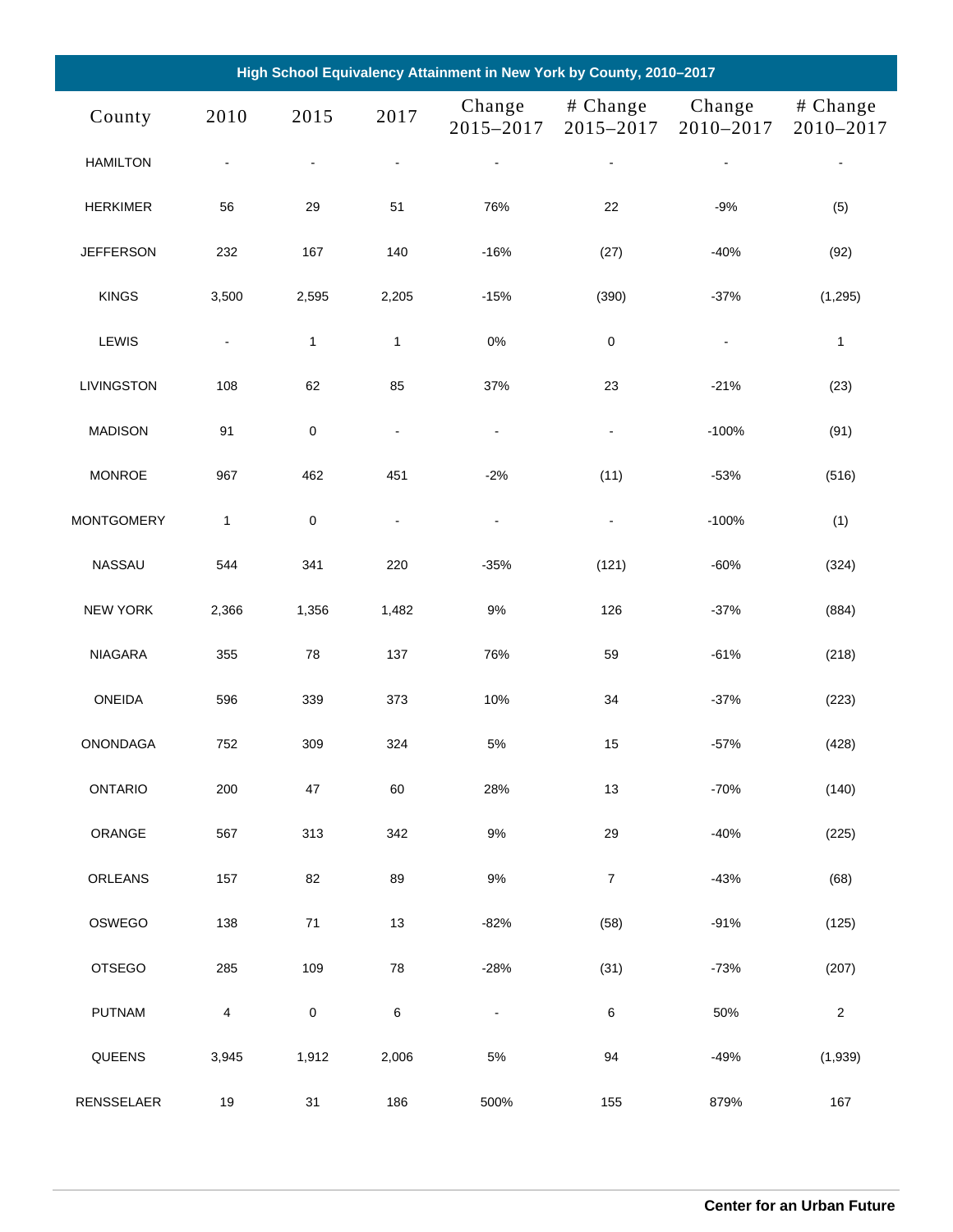| High School Equivalency Attainment in New York by County, 2010-2017 |                          |                |                |                              |                              |                     |                       |  |  |  |
|---------------------------------------------------------------------|--------------------------|----------------|----------------|------------------------------|------------------------------|---------------------|-----------------------|--|--|--|
| County                                                              | 2010                     | 2015           | 2017           | Change<br>2015-2017          | # Change<br>2015-2017        | Change<br>2010-2017 | # Change<br>2010-2017 |  |  |  |
| <b>HAMILTON</b>                                                     | $\blacksquare$           | $\blacksquare$ | $\blacksquare$ |                              | $\blacksquare$               | $\blacksquare$      | $\blacksquare$        |  |  |  |
| <b>HERKIMER</b>                                                     | 56                       | 29             | 51             | 76%                          | 22                           | $-9%$               | (5)                   |  |  |  |
| <b>JEFFERSON</b>                                                    | 232                      | 167            | 140            | $-16%$                       | (27)                         | $-40%$              | (92)                  |  |  |  |
| <b>KINGS</b>                                                        | 3,500                    | 2,595          | 2,205          | $-15%$                       | (390)                        | $-37%$              | (1, 295)              |  |  |  |
| LEWIS                                                               | $\blacksquare$           | $\mathbf{1}$   | $\mathbf{1}$   | $0\%$                        | 0                            | $\blacksquare$      | $\mathbf{1}$          |  |  |  |
| LIVINGSTON                                                          | 108                      | 62             | 85             | 37%                          | 23                           | $-21%$              | (23)                  |  |  |  |
| <b>MADISON</b>                                                      | 91                       | $\pmb{0}$      | $\blacksquare$ | $\blacksquare$               | $\blacksquare$               | $-100%$             | (91)                  |  |  |  |
| <b>MONROE</b>                                                       | 967                      | 462            | 451            | $-2%$                        | (11)                         | $-53%$              | (516)                 |  |  |  |
| <b>MONTGOMERY</b>                                                   | $\mathbf{1}$             | $\pmb{0}$      | $\blacksquare$ | $\blacksquare$               | $\qquad \qquad \blacksquare$ | $-100%$             | (1)                   |  |  |  |
| <b>NASSAU</b>                                                       | 544                      | 341            | 220            | $-35%$                       | (121)                        | $-60%$              | (324)                 |  |  |  |
| <b>NEW YORK</b>                                                     | 2,366                    | 1,356          | 1,482          | $9%$                         | 126                          | $-37%$              | (884)                 |  |  |  |
| <b>NIAGARA</b>                                                      | 355                      | 78             | 137            | 76%                          | 59                           | $-61%$              | (218)                 |  |  |  |
| ONEIDA                                                              | 596                      | 339            | 373            | 10%                          | 34                           | $-37%$              | (223)                 |  |  |  |
| ONONDAGA                                                            | 752                      | 309            | 324            | $5\%$                        | 15                           | $-57%$              | (428)                 |  |  |  |
| <b>ONTARIO</b>                                                      | 200                      | 47             | 60             | 28%                          | 13                           | $-70%$              | (140)                 |  |  |  |
| ORANGE                                                              | 567                      | 313            | 342            | $9\%$                        | 29                           | $-40%$              | (225)                 |  |  |  |
| ORLEANS                                                             | 157                      | 82             | 89             | $9%$                         | $\boldsymbol{7}$             | $-43%$              | (68)                  |  |  |  |
| OSWEGO                                                              | 138                      | $71$           | 13             | $-82%$                       | (58)                         | $-91%$              | (125)                 |  |  |  |
| <b>OTSEGO</b>                                                       | 285                      | 109            | 78             | $-28%$                       | (31)                         | $-73%$              | (207)                 |  |  |  |
| <b>PUTNAM</b>                                                       | $\overline{\mathcal{A}}$ | $\mathbf 0$    | 6              | $\qquad \qquad \blacksquare$ | 6                            | 50%                 | $\sqrt{2}$            |  |  |  |
| QUEENS                                                              | 3,945                    | 1,912          | 2,006          | $5\%$                        | 94                           | $-49%$              | (1,939)               |  |  |  |
| RENSSELAER                                                          | 19                       | 31             | 186            | 500%                         | 155                          | 879%                | 167                   |  |  |  |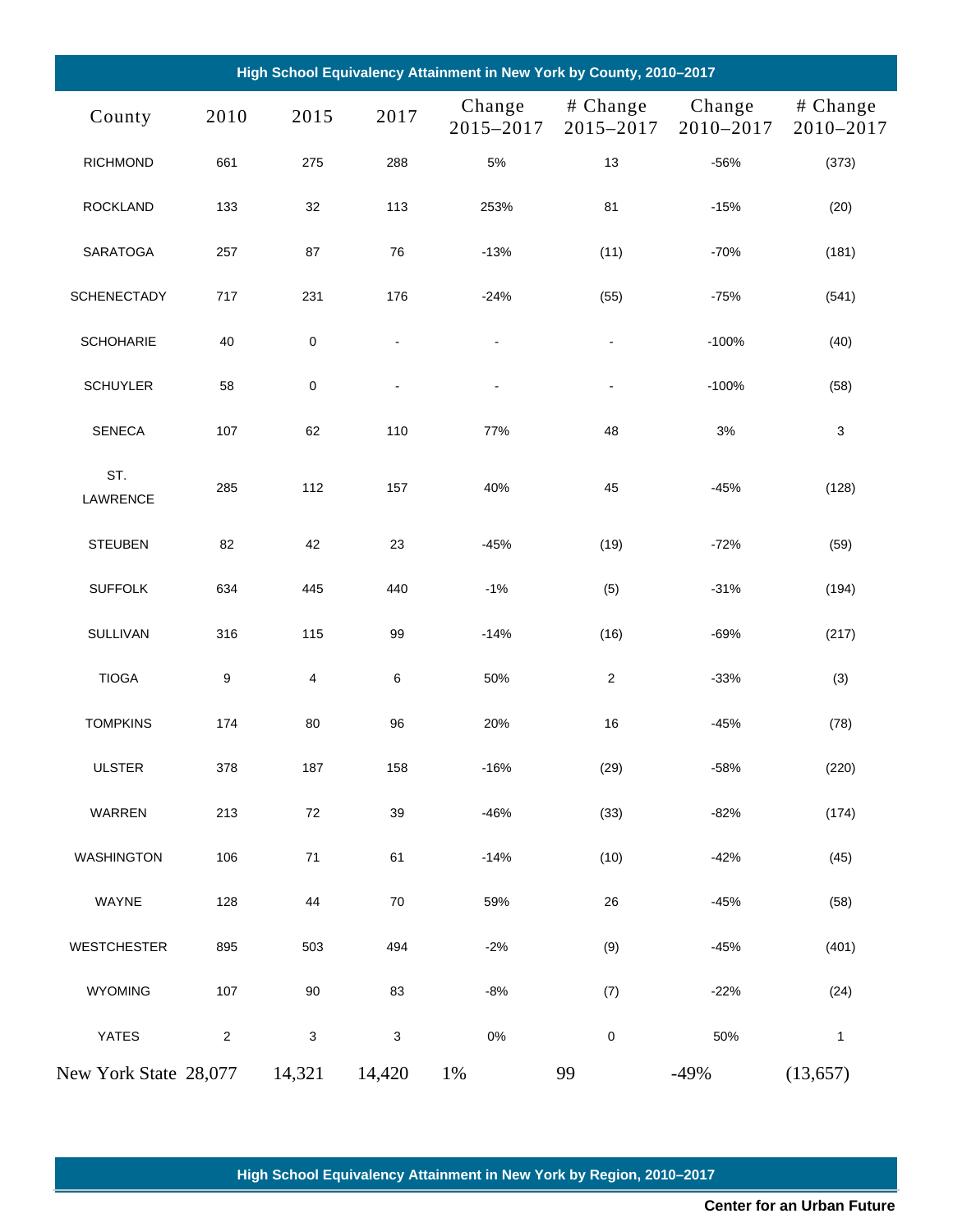| High School Equivalency Attainment in New York by County, 2010-2017 |            |           |                           |                     |                       |                     |                       |  |  |  |
|---------------------------------------------------------------------|------------|-----------|---------------------------|---------------------|-----------------------|---------------------|-----------------------|--|--|--|
| County                                                              | 2010       | 2015      | 2017                      | Change<br>2015-2017 | # Change<br>2015-2017 | Change<br>2010-2017 | # Change<br>2010-2017 |  |  |  |
| <b>RICHMOND</b>                                                     | 661        | 275       | 288                       | 5%                  | 13                    | $-56%$              | (373)                 |  |  |  |
| <b>ROCKLAND</b>                                                     | 133        | 32        | 113                       | 253%                | 81                    | $-15%$              | (20)                  |  |  |  |
| <b>SARATOGA</b>                                                     | 257        | 87        | 76                        | $-13%$              | (11)                  | $-70%$              | (181)                 |  |  |  |
| <b>SCHENECTADY</b>                                                  | 717        | 231       | 176                       | $-24%$              | (55)                  | $-75%$              | (541)                 |  |  |  |
| <b>SCHOHARIE</b>                                                    | 40         | $\pmb{0}$ | $\blacksquare$            | $\blacksquare$      | $\blacksquare$        | $-100%$             | (40)                  |  |  |  |
| <b>SCHUYLER</b>                                                     | 58         | $\pmb{0}$ | $\frac{1}{2}$             | $\blacksquare$      | $\blacksquare$        | $-100%$             | (58)                  |  |  |  |
| <b>SENECA</b>                                                       | 107        | 62        | 110                       | 77%                 | 48                    | $3%$                | 3                     |  |  |  |
| ST.<br>LAWRENCE                                                     | 285        | 112       | 157                       | 40%                 | 45                    | $-45%$              | (128)                 |  |  |  |
| <b>STEUBEN</b>                                                      | 82         | 42        | 23                        | $-45%$              | (19)                  | $-72%$              | (59)                  |  |  |  |
| <b>SUFFOLK</b>                                                      | 634        | 445       | 440                       | $-1%$               | (5)                   | $-31%$              | (194)                 |  |  |  |
| <b>SULLIVAN</b>                                                     | 316        | 115       | 99                        | $-14%$              | (16)                  | $-69%$              | (217)                 |  |  |  |
| <b>TIOGA</b>                                                        | 9          | 4         | 6                         | 50%                 | $\mathbf{2}$          | $-33%$              | (3)                   |  |  |  |
| <b>TOMPKINS</b>                                                     | 174        | 80        | 96                        | 20%                 | 16                    | $-45%$              | (78)                  |  |  |  |
| <b>ULSTER</b>                                                       | 378        | 187       | 158                       | $-16%$              | (29)                  | $-58%$              | (220)                 |  |  |  |
| WARREN                                                              | 213        | 72        | 39                        | $-46%$              | (33)                  | $-82%$              | (174)                 |  |  |  |
| <b>WASHINGTON</b>                                                   | 106        | $71$      | 61                        | $-14%$              | (10)                  | $-42%$              | (45)                  |  |  |  |
| WAYNE                                                               | 128        | 44        | $70\,$                    | 59%                 | 26                    | $-45%$              | (58)                  |  |  |  |
| <b>WESTCHESTER</b>                                                  | 895        | 503       | 494                       | $-2%$               | (9)                   | $-45%$              | (401)                 |  |  |  |
| WYOMING                                                             | 107        | $90\,$    | 83                        | $-8%$               | (7)                   | $-22%$              | (24)                  |  |  |  |
| YATES                                                               | $\sqrt{2}$ | 3         | $\ensuremath{\mathsf{3}}$ | $0\%$               | 0                     | 50%                 | $\mathbf{1}$          |  |  |  |
| New York State 28,077                                               |            | 14,321    | 14,420                    | $1\%$               | 99                    | $-49%$              | (13, 657)             |  |  |  |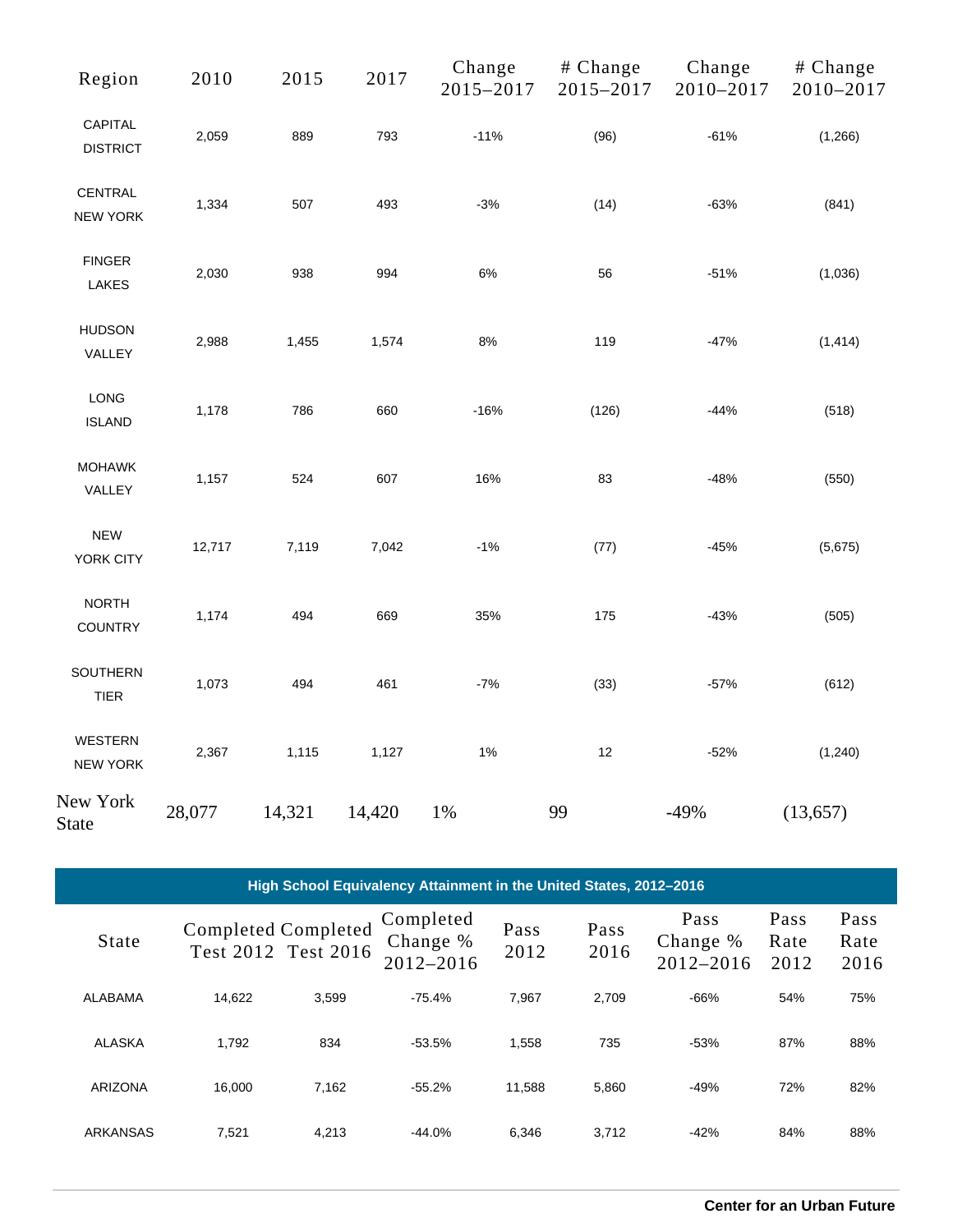| Region                         | 2010   | 2015   | 2017   | Change<br>2015-2017 | # Change<br>2015-2017 | Change<br>2010-2017 | # Change<br>2010-2017 |
|--------------------------------|--------|--------|--------|---------------------|-----------------------|---------------------|-----------------------|
| CAPITAL<br><b>DISTRICT</b>     | 2,059  | 889    | 793    | $-11%$              | (96)                  | $-61%$              | (1,266)               |
| CENTRAL<br><b>NEW YORK</b>     | 1,334  | 507    | 493    | $-3%$               | (14)                  | $-63%$              | (841)                 |
| <b>FINGER</b><br><b>LAKES</b>  | 2,030  | 938    | 994    | $6\%$               | 56                    | $-51%$              | (1,036)               |
| <b>HUDSON</b><br>VALLEY        | 2,988  | 1,455  | 1,574  | $8\%$               | 119                   | $-47%$              | (1, 414)              |
| LONG<br><b>ISLAND</b>          | 1,178  | 786    | 660    | $-16%$              | (126)                 | $-44%$              | (518)                 |
| <b>MOHAWK</b><br>VALLEY        | 1,157  | 524    | 607    | 16%                 | 83                    | $-48%$              | (550)                 |
| <b>NEW</b><br>YORK CITY        | 12,717 | 7,119  | 7,042  | $-1%$               | (77)                  | $-45%$              | (5,675)               |
| <b>NORTH</b><br><b>COUNTRY</b> | 1,174  | 494    | 669    | 35%                 | 175                   | $-43%$              | (505)                 |
| SOUTHERN<br><b>TIER</b>        | 1,073  | 494    | 461    | $-7%$               | (33)                  | $-57%$              | (612)                 |
| WESTERN<br>NEW YORK            | 2,367  | 1,115  | 1,127  | 1%                  | 12                    | $-52%$              | (1, 240)              |
| New York<br><b>State</b>       | 28,077 | 14,321 | 14,420 | $1\%$               | 99                    | $-49%$              | (13, 657)             |

| High School Equivalency Attainment in the United States, 2012-2016 |                            |                     |                                        |              |              |                               |                      |                      |  |  |
|--------------------------------------------------------------------|----------------------------|---------------------|----------------------------------------|--------------|--------------|-------------------------------|----------------------|----------------------|--|--|
| <b>State</b>                                                       | <b>Completed Completed</b> | Test 2012 Test 2016 | Completed<br>Change %<br>$2012 - 2016$ | Pass<br>2012 | Pass<br>2016 | Pass<br>Change %<br>2012-2016 | Pass<br>Rate<br>2012 | Pass<br>Rate<br>2016 |  |  |
| ALABAMA                                                            | 14.622                     | 3.599               | $-75.4%$                               | 7.967        | 2.709        | $-66%$                        | 54%                  | 75%                  |  |  |
| ALASKA                                                             | 1.792                      | 834                 | $-53.5%$                               | 1,558        | 735          | $-53%$                        | 87%                  | 88%                  |  |  |
| <b>ARIZONA</b>                                                     | 16.000                     | 7.162               | $-55.2%$                               | 11.588       | 5,860        | $-49%$                        | 72%                  | 82%                  |  |  |
| <b>ARKANSAS</b>                                                    | 7,521                      | 4,213               | $-44.0%$                               | 6,346        | 3,712        | $-42%$                        | 84%                  | 88%                  |  |  |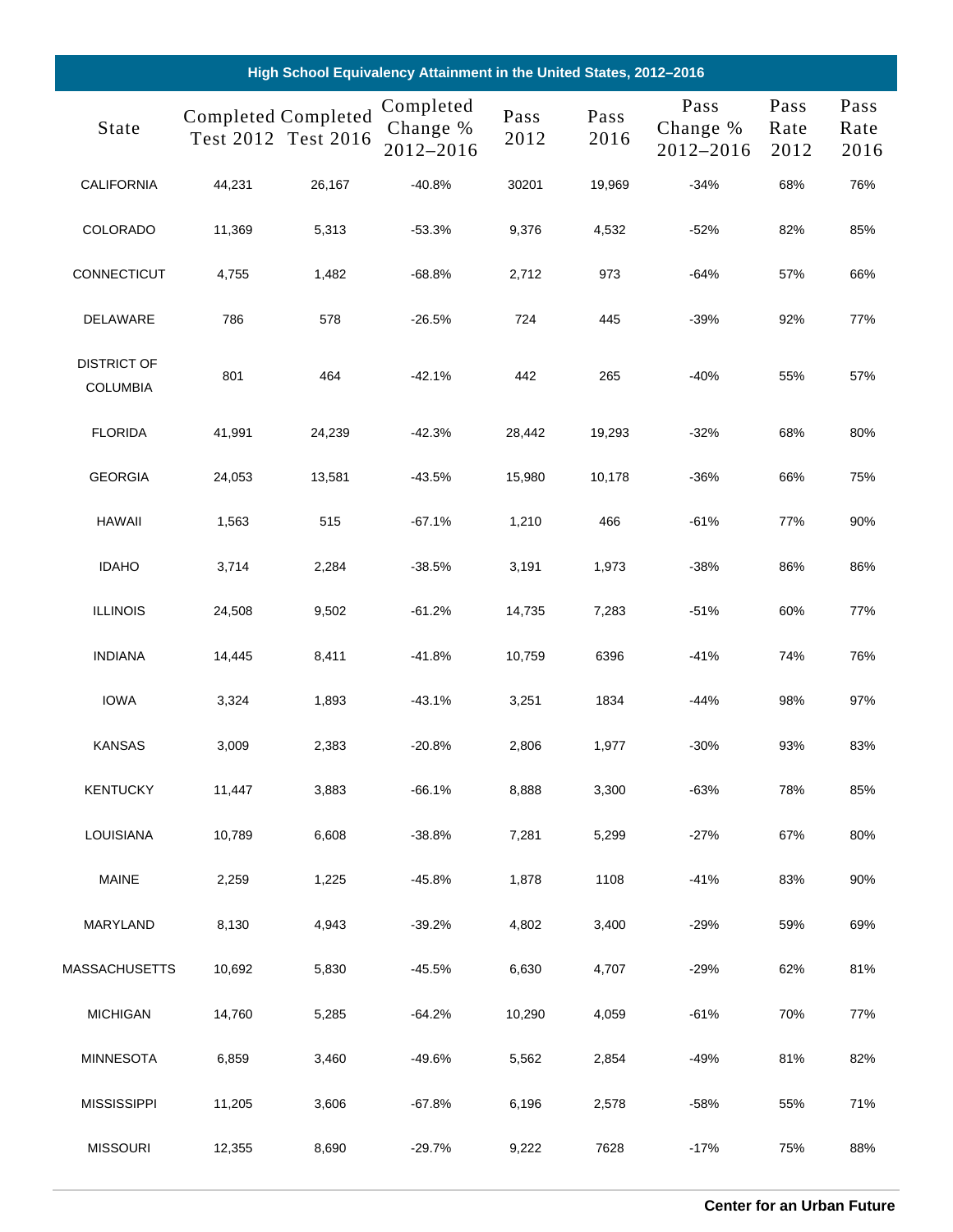| High School Equivalency Attainment in the United States, 2012-2016 |                            |                     |                                    |              |              |                               |                      |                      |  |
|--------------------------------------------------------------------|----------------------------|---------------------|------------------------------------|--------------|--------------|-------------------------------|----------------------|----------------------|--|
| State                                                              | <b>Completed Completed</b> | Test 2012 Test 2016 | Completed<br>Change %<br>2012-2016 | Pass<br>2012 | Pass<br>2016 | Pass<br>Change %<br>2012-2016 | Pass<br>Rate<br>2012 | Pass<br>Rate<br>2016 |  |
| CALIFORNIA                                                         | 44,231                     | 26,167              | $-40.8%$                           | 30201        | 19,969       | $-34%$                        | 68%                  | 76%                  |  |
| COLORADO                                                           | 11,369                     | 5,313               | $-53.3%$                           | 9,376        | 4,532        | $-52%$                        | 82%                  | 85%                  |  |
| CONNECTICUT                                                        | 4,755                      | 1,482               | $-68.8%$                           | 2,712        | 973          | $-64%$                        | 57%                  | 66%                  |  |
| DELAWARE                                                           | 786                        | 578                 | $-26.5%$                           | 724          | 445          | $-39%$                        | 92%                  | 77%                  |  |
| <b>DISTRICT OF</b><br><b>COLUMBIA</b>                              | 801                        | 464                 | $-42.1%$                           | 442          | 265          | $-40%$                        | 55%                  | 57%                  |  |
| <b>FLORIDA</b>                                                     | 41,991                     | 24,239              | $-42.3%$                           | 28,442       | 19,293       | $-32%$                        | 68%                  | 80%                  |  |
| <b>GEORGIA</b>                                                     | 24,053                     | 13,581              | $-43.5%$                           | 15,980       | 10,178       | $-36%$                        | 66%                  | 75%                  |  |
| <b>HAWAII</b>                                                      | 1,563                      | 515                 | $-67.1%$                           | 1,210        | 466          | $-61%$                        | 77%                  | 90%                  |  |
| <b>IDAHO</b>                                                       | 3,714                      | 2,284               | $-38.5%$                           | 3,191        | 1,973        | $-38%$                        | 86%                  | 86%                  |  |
| <b>ILLINOIS</b>                                                    | 24,508                     | 9,502               | $-61.2%$                           | 14,735       | 7,283        | $-51%$                        | 60%                  | 77%                  |  |
| <b>INDIANA</b>                                                     | 14,445                     | 8,411               | $-41.8%$                           | 10,759       | 6396         | $-41%$                        | 74%                  | 76%                  |  |
| <b>IOWA</b>                                                        | 3,324                      | 1,893               | $-43.1%$                           | 3,251        | 1834         | $-44%$                        | 98%                  | 97%                  |  |
| <b>KANSAS</b>                                                      | 3,009                      | 2,383               | $-20.8%$                           | 2,806        | 1,977        | $-30%$                        | 93%                  | 83%                  |  |
| <b>KENTUCKY</b>                                                    | 11,447                     | 3,883               | $-66.1%$                           | 8,888        | 3,300        | $-63%$                        | 78%                  | 85%                  |  |
| <b>LOUISIANA</b>                                                   | 10,789                     | 6,608               | $-38.8%$                           | 7,281        | 5,299        | $-27%$                        | 67%                  | 80%                  |  |
| <b>MAINE</b>                                                       | 2,259                      | 1,225               | $-45.8%$                           | 1,878        | 1108         | $-41%$                        | 83%                  | 90%                  |  |
| MARYLAND                                                           | 8,130                      | 4,943               | $-39.2%$                           | 4,802        | 3,400        | $-29%$                        | 59%                  | 69%                  |  |
| MASSACHUSETTS                                                      | 10,692                     | 5,830               | -45.5%                             | 6,630        | 4,707        | $-29%$                        | 62%                  | 81%                  |  |
| <b>MICHIGAN</b>                                                    | 14,760                     | 5,285               | $-64.2%$                           | 10,290       | 4,059        | $-61%$                        | 70%                  | 77%                  |  |
| <b>MINNESOTA</b>                                                   | 6,859                      | 3,460               | $-49.6%$                           | 5,562        | 2,854        | $-49%$                        | 81%                  | 82%                  |  |
| <b>MISSISSIPPI</b>                                                 | 11,205                     | 3,606               | $-67.8%$                           | 6,196        | 2,578        | $-58%$                        | 55%                  | 71%                  |  |
| <b>MISSOURI</b>                                                    | 12,355                     | 8,690               | $-29.7%$                           | 9,222        | 7628         | $-17%$                        | 75%                  | 88%                  |  |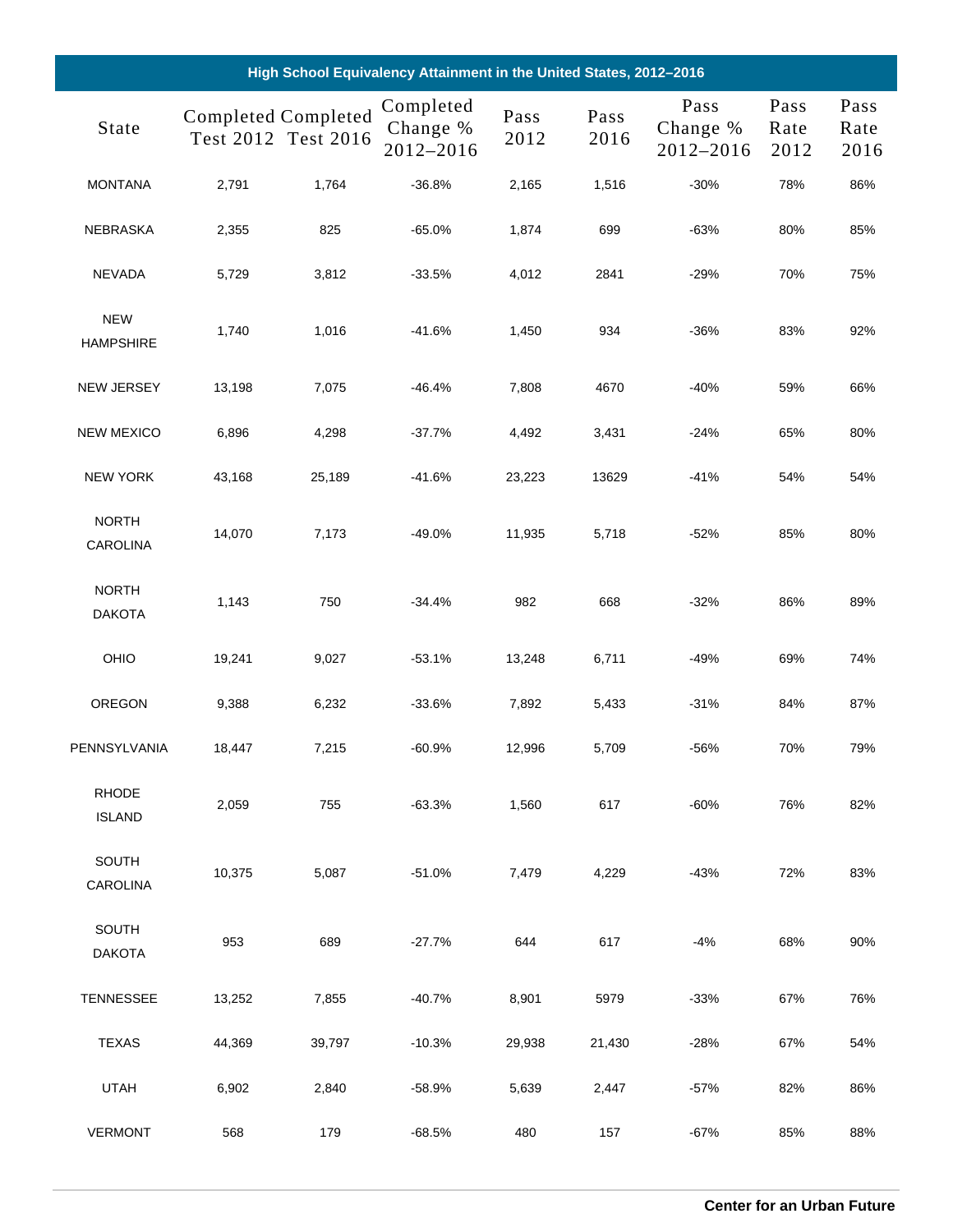| High School Equivalency Attainment in the United States, 2012-2016 |                            |                     |                                    |              |              |                               |                      |                      |  |
|--------------------------------------------------------------------|----------------------------|---------------------|------------------------------------|--------------|--------------|-------------------------------|----------------------|----------------------|--|
| State                                                              | <b>Completed Completed</b> | Test 2012 Test 2016 | Completed<br>Change %<br>2012-2016 | Pass<br>2012 | Pass<br>2016 | Pass<br>Change %<br>2012-2016 | Pass<br>Rate<br>2012 | Pass<br>Rate<br>2016 |  |
| <b>MONTANA</b>                                                     | 2,791                      | 1,764               | $-36.8%$                           | 2,165        | 1,516        | $-30%$                        | 78%                  | 86%                  |  |
| NEBRASKA                                                           | 2,355                      | 825                 | $-65.0%$                           | 1,874        | 699          | $-63%$                        | 80%                  | 85%                  |  |
| <b>NEVADA</b>                                                      | 5,729                      | 3,812               | $-33.5%$                           | 4,012        | 2841         | $-29%$                        | 70%                  | 75%                  |  |
| <b>NEW</b><br><b>HAMPSHIRE</b>                                     | 1,740                      | 1,016               | $-41.6%$                           | 1,450        | 934          | $-36%$                        | 83%                  | 92%                  |  |
| NEW JERSEY                                                         | 13,198                     | 7,075               | $-46.4%$                           | 7,808        | 4670         | $-40%$                        | 59%                  | 66%                  |  |
| <b>NEW MEXICO</b>                                                  | 6,896                      | 4,298               | $-37.7%$                           | 4,492        | 3,431        | $-24%$                        | 65%                  | 80%                  |  |
| <b>NEW YORK</b>                                                    | 43,168                     | 25,189              | $-41.6%$                           | 23,223       | 13629        | $-41%$                        | 54%                  | 54%                  |  |
| <b>NORTH</b><br><b>CAROLINA</b>                                    | 14,070                     | 7,173               | $-49.0%$                           | 11,935       | 5,718        | $-52%$                        | 85%                  | 80%                  |  |
| <b>NORTH</b><br><b>DAKOTA</b>                                      | 1,143                      | 750                 | $-34.4%$                           | 982          | 668          | $-32%$                        | 86%                  | 89%                  |  |
| OHIO                                                               | 19,241                     | 9,027               | $-53.1%$                           | 13,248       | 6,711        | -49%                          | 69%                  | 74%                  |  |
| OREGON                                                             | 9,388                      | 6,232               | $-33.6%$                           | 7,892        | 5,433        | $-31%$                        | 84%                  | 87%                  |  |
| PENNSYLVANIA                                                       | 18,447                     | 7,215               | $-60.9%$                           | 12,996       | 5,709        | -56%                          | 70%                  | 79%                  |  |
| <b>RHODE</b><br><b>ISLAND</b>                                      | 2,059                      | 755                 | $-63.3%$                           | 1,560        | 617          | $-60%$                        | 76%                  | 82%                  |  |
| <b>SOUTH</b><br><b>CAROLINA</b>                                    | 10,375                     | 5,087               | $-51.0%$                           | 7,479        | 4,229        | $-43%$                        | 72%                  | 83%                  |  |
| SOUTH<br><b>DAKOTA</b>                                             | 953                        | 689                 | $-27.7%$                           | 644          | 617          | -4%                           | 68%                  | 90%                  |  |
| <b>TENNESSEE</b>                                                   | 13,252                     | 7,855               | $-40.7%$                           | 8,901        | 5979         | $-33%$                        | 67%                  | 76%                  |  |
| <b>TEXAS</b>                                                       | 44,369                     | 39,797              | $-10.3%$                           | 29,938       | 21,430       | $-28%$                        | 67%                  | 54%                  |  |
| <b>UTAH</b>                                                        | 6,902                      | 2,840               | $-58.9%$                           | 5,639        | 2,447        | $-57%$                        | 82%                  | 86%                  |  |
| <b>VERMONT</b>                                                     | 568                        | 179                 | $-68.5%$                           | 480          | 157          | $-67%$                        | 85%                  | 88%                  |  |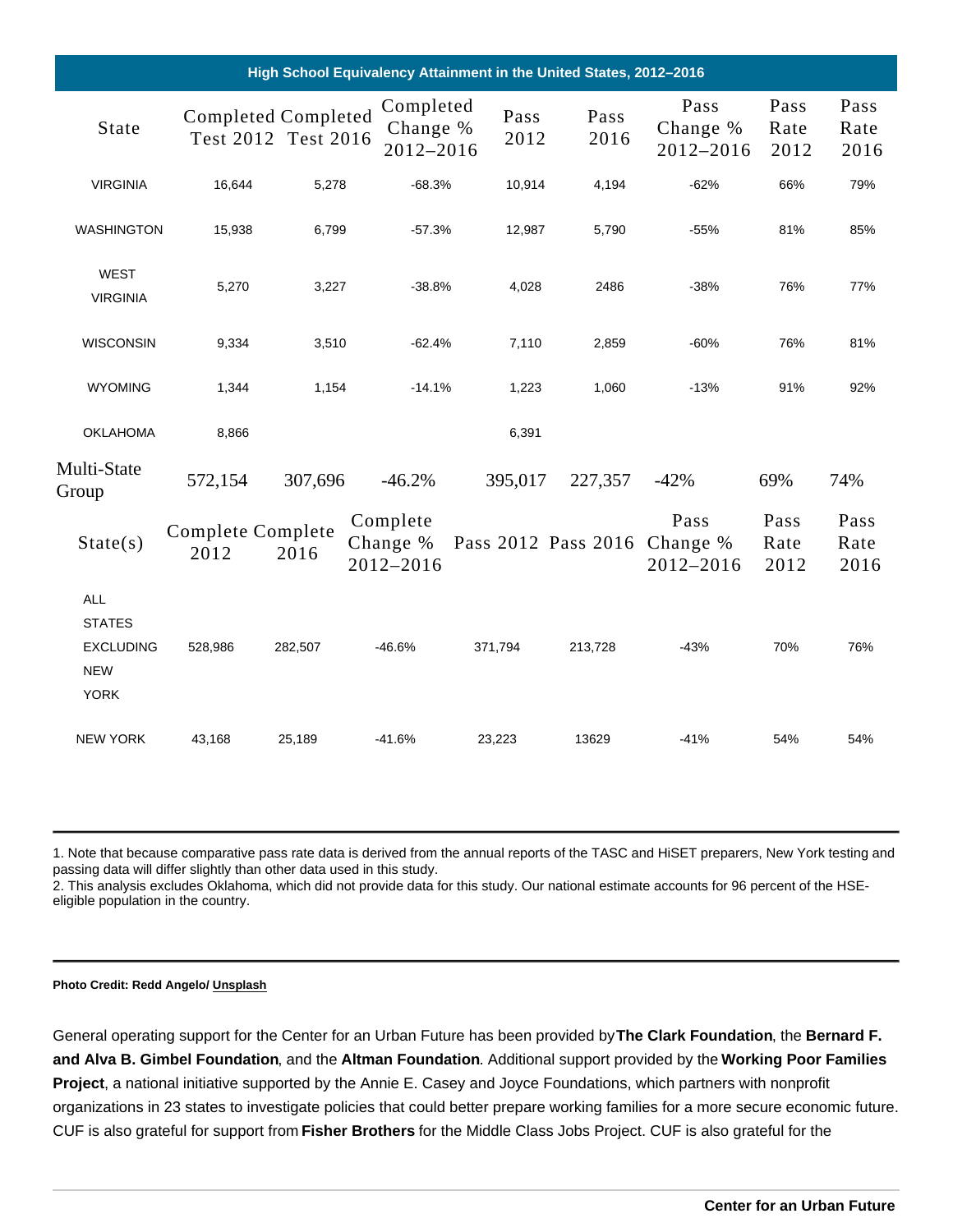|                                                                              |                          |                     | High School Equivalency Attainment in the United States, 2012-2016 |              |              |                                    |                      |                      |
|------------------------------------------------------------------------------|--------------------------|---------------------|--------------------------------------------------------------------|--------------|--------------|------------------------------------|----------------------|----------------------|
| <b>State</b>                                                                 |                          | Test 2012 Test 2016 | CompletedCompletedCompleted<br>Change %<br>2012-2016               | Pass<br>2012 | Pass<br>2016 | Pass<br>Change %<br>2012-2016 2012 | Pass<br>Rate         | Pass<br>Rate<br>2016 |
| <b>VIRGINIA</b>                                                              | 16,644                   | 5,278               | $-68.3%$                                                           | 10,914       | 4,194        | $-62%$                             | 66%                  | 79%                  |
| <b>WASHINGTON</b>                                                            | 15,938                   | 6,799               | $-57.3%$                                                           | 12,987       | 5,790        | $-55%$                             | 81%                  | 85%                  |
| WEST<br><b>VIRGINIA</b>                                                      | 5,270                    | 3,227               | $-38.8%$                                                           | 4,028        | 2486         | $-38%$                             | 76%                  | 77%                  |
| <b>WISCONSIN</b>                                                             | 9,334                    | 3,510               | $-62.4%$                                                           | 7,110        | 2,859        | $-60%$                             | 76%                  | 81%                  |
| <b>WYOMING</b>                                                               | 1,344                    | 1,154               | $-14.1%$                                                           | 1,223        | 1,060        | $-13%$                             | 91%                  | 92%                  |
| <b>OKLAHOMA</b>                                                              | 8,866                    |                     |                                                                    | 6,391        |              |                                    |                      |                      |
| Multi-State<br>Group                                                         | 572,154                  | 307,696             | $-46.2%$                                                           | 395,017      | 227,357      | $-42%$                             | 69%                  | 74%                  |
| State(s)                                                                     | CompleteComplete<br>2012 | 2016                | Complete<br>Change % Pass 2012 Pass 2016 Change %<br>2012-2016     |              |              | Pass<br>2012-2016                  | Pass<br>Rate<br>2012 | Pass<br>Rate<br>2016 |
| <b>ALL</b><br><b>STATES</b><br><b>EXCLUDING</b><br><b>NEW</b><br><b>YORK</b> | 528,986                  | 282,507             | $-46.6%$                                                           | 371,794      | 213,728      | $-43%$                             | 70%                  | 76%                  |
| <b>NEW YORK</b>                                                              | 43,168                   | 25,189              | $-41.6%$                                                           | 23,223       | 13629        | $-41%$                             | 54%                  | 54%                  |

1. Note that because comparative pass rate data is derived from the annual reports of the TASC and HiSET preparers, New York testing and passing data will differ slightly than other data used in this study.

2. This analysis excludes Oklahoma, which did not provide data for this study. Our national estimate accounts for 96 percent of the HSEeligible population in the country.

Photo Credit: Redd Angelo/ [Unsplash](https://unsplash.com/photos/9o8YdYGTT64)

General operating support for the Center for an Urban Future has been provided by The Clark Foundation , the Bernard F. and Alva B. Gimbel Foundation , and the Altman Foundation . Additional support provided by the Working Poor Families Project , a national initiative supported by the Annie E. Casey and Joyce Foundations, which partners with nonprofit organizations in 23 states to investigate policies that could better prepare working families for a more secure economic future. CUF is also grateful for support from Fisher Brothers for the Middle Class Jobs Project. CUF is also grateful for the